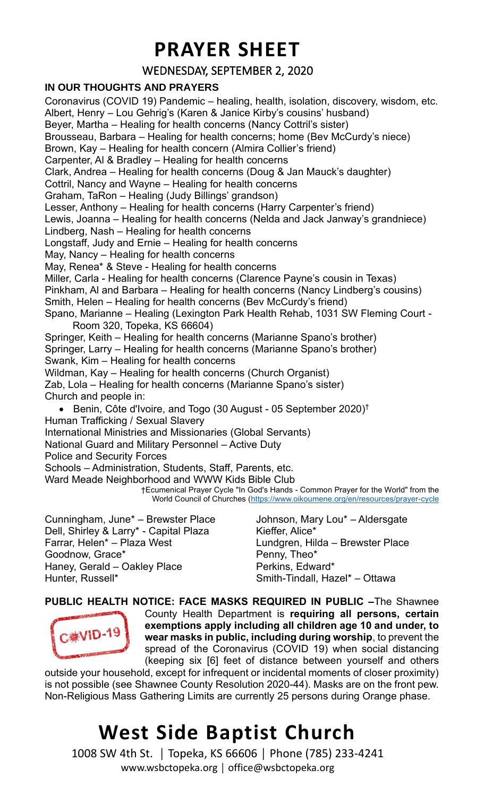### **PRAYER SHEET**

### WEDNESDAY, SEPTEMBER 2, 2020

#### **IN OUR THOUGHTS AND PRAYERS**

Coronavirus (COVID 19) Pandemic – healing, health, isolation, discovery, wisdom, etc. Albert, Henry – Lou Gehrig's (Karen & Janice Kirby's cousins' husband) Beyer, Martha – Healing for health concerns (Nancy Cottril's sister) Brousseau, Barbara – Healing for health concerns; home (Bev McCurdy's niece) Brown, Kay – Healing for health concern (Almira Collier's friend) Carpenter, Al & Bradley – Healing for health concerns Clark, Andrea – Healing for health concerns (Doug & Jan Mauck's daughter) Cottril, Nancy and Wayne – Healing for health concerns Graham, TaRon – Healing (Judy Billings' grandson) Lesser, Anthony – Healing for health concerns (Harry Carpenter's friend) Lewis, Joanna – Healing for health concerns (Nelda and Jack Janway's grandniece) Lindberg, Nash – Healing for health concerns Longstaff, Judy and Ernie – Healing for health concerns May, Nancy – Healing for health concerns May, Renea\* & Steve - Healing for health concerns Miller, Carla - Healing for health concerns (Clarence Payne's cousin in Texas) Pinkham, Al and Barbara – Healing for health concerns (Nancy Lindberg's cousins) Smith, Helen – Healing for health concerns (Bev McCurdy's friend) Spano, Marianne – Healing (Lexington Park Health Rehab, 1031 SW Fleming Court - Room 320, Topeka, KS 66604) Springer, Keith – Healing for health concerns (Marianne Spano's brother) Springer, Larry – Healing for health concerns (Marianne Spano's brother) Swank, Kim – Healing for health concerns Wildman, Kay – Healing for health concerns (Church Organist) Zab, Lola – Healing for health concerns (Marianne Spano's sister) Church and people in: • Benin, Côte d'Ivoire, and Togo (30 August - 05 September 2020)<sup>†</sup> Human Trafficking / Sexual Slavery International Ministries and Missionaries (Global Servants) National Guard and Military Personnel – Active Duty Police and Security Forces Schools – Administration, Students, Staff, Parents, etc. Ward Meade Neighborhood and WWW Kids Bible Club †Ecumenical Prayer Cycle "In God's Hands - Common Prayer for the World" from the World Council of Churches [\(https://www.oikoumene.org/en/resources/prayer-cycle](https://www.oikoumene.org/en/resources/prayer-cycle) Cunningham, June\* – Brewster Place Johnson, Mary Lou\* – Aldersgate

Dell, Shirley & Larry\* - Capital Plaza Farrar, Helen\* – Plaza West Goodnow, Grace\* Haney, Gerald – Oakley Place Hunter, Russell\*

Kieffer, Alice\* Lundgren, Hilda – Brewster Place Penny, Theo\* Perkins, Edward\* Smith-Tindall, Hazel\* – Ottawa

**PUBLIC HEALTH NOTICE: FACE MASKS REQUIRED IN PUBLIC –**The Shawnee County Health Department is **requiring all persons, certain exemptions apply including all children age 10 and under, to C.※VID-19 wear masks in public, including during worship**, to prevent the spread of the Coronavirus (COVID 19) when social distancing (keeping six [6] feet of distance between yourself and others

outside your household, except for infrequent or incidental moments of closer proximity) is not possible (see Shawnee County Resolution 2020-44). Masks are on the front pew. Non-Religious Mass Gathering Limits are currently 25 persons during Orange phase.

# **West Side Baptist Church**

1008 SW 4th St. │ Topeka, KS 66606 │ Phone (785) 233-4241 www.wsbctopeka.org │ office@wsbctopeka.org